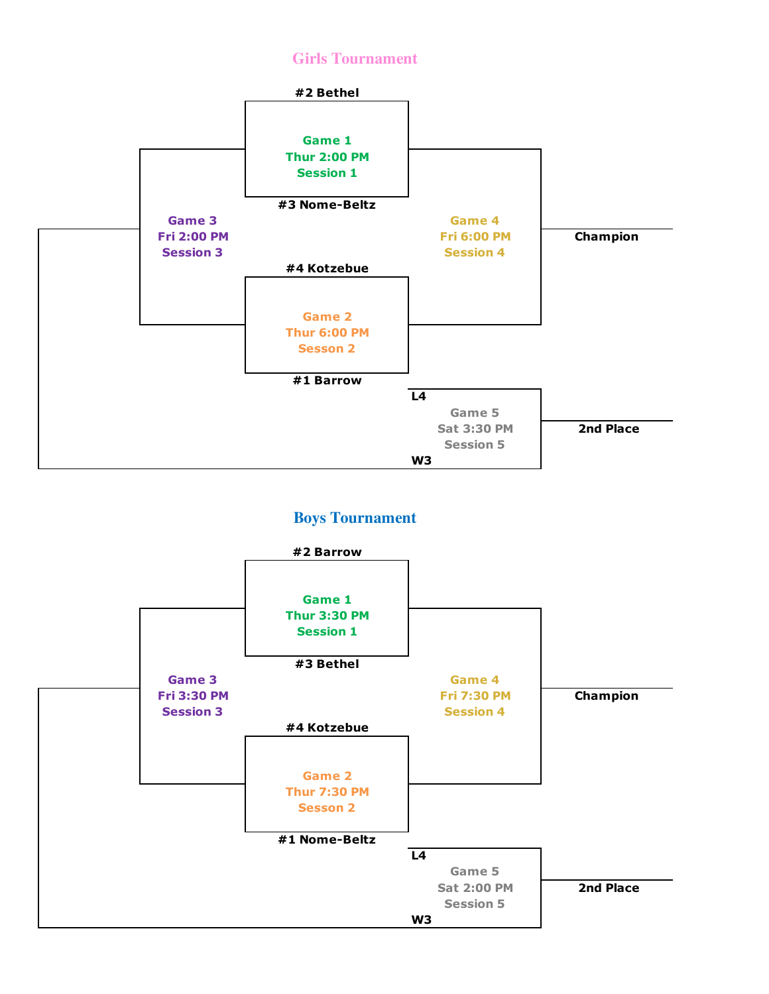## **Girls Tournament**



## **Boys Tournament**